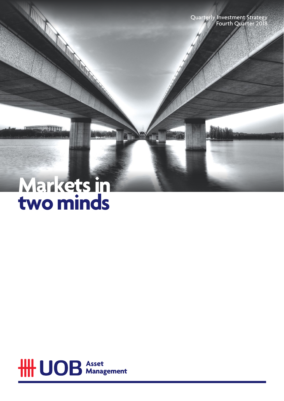Quarterly Investment Strategy Fourth Quarter 2018

# **Markets in two minds**

1222

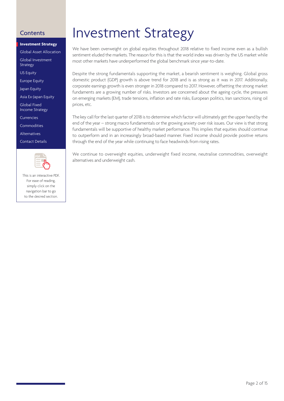#### **Investment Strategy**

Global Asset Allocation

Global Investment Strategy

US Equity

Europe Equity

Japan Equity

Asia Ex-Japan Equity

Global Fixed Income Strategy

Currencies

Commodities

Alternatives

Contact Details



This is an interactive PDF. For ease of reading. simply click on the navigation bar to go to the desired section.

# Investment Strategy

We have been overweight on global equities throughout 2018 relative to fixed income even as a bullish sentiment eluded the markets. The reason for this is that the world index was driven by the US market while most other markets have underperformed the global benchmark since year-to-date.

Despite the strong fundamentals supporting the market, a bearish sentiment is weighing. Global gross domestic product (GDP) growth is above trend for 2018 and is as strong as it was in 2017. Additionally, corporate earnings growth is even stronger in 2018 compared to 2017. However, offsetting the strong market fundaments are a growing number of risks. Investors are concerned about the ageing cycle, the pressures on emerging markets (EM), trade tensions, inflation and rate risks, European politics, Iran sanctions, rising oil prices, etc.

The key call for the last quarter of 2018 is to determine which factor will ultimately get the upper hand by the end of the year – strong macro fundamentals or the growing anxiety over risk issues. Our view is that strong fundamentals will be supportive of healthy market performance. This implies that equities should continue to outperform and in an increasingly broad-based manner. Fixed income should provide positive returns through the end of the year while continuing to face headwinds from rising rates.

We continue to overweight equities, underweight fixed income, neutralise commodities, overweight alternatives and underweight cash.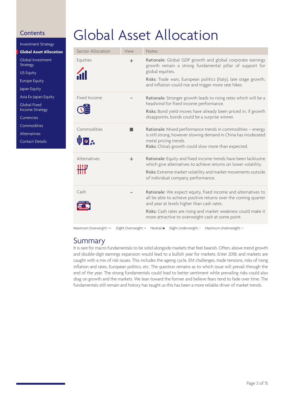Investment Strategy

**Global Asset Allocation** 

Global Investment Strategy

US Equity

Europe Equity

Japan Equity

Asia Ex-Japan Equity

Global Fixed Income Strategy

**Currencies** 

Commodities

Alternatives

Contact Details

# Global Asset Allocation

| Sector Allocation  | View  | <b>Notes</b>                                                                                                                                                                                                                                                                                          |
|--------------------|-------|-------------------------------------------------------------------------------------------------------------------------------------------------------------------------------------------------------------------------------------------------------------------------------------------------------|
| Equities<br>Æ      | $\pm$ | Rationale: Global GDP growth and global corporate earnings<br>growth remain a strong fundamental pillar of support for<br>global equities.<br>Risks: Trade wars, European politics (Italy), late stage growth,<br>and inflation could rise and trigger more rate hikes                                |
| Fixed Income       |       | Rationale: Stronger growth leads to rising rates which will be a<br>headwind for fixed income performance.<br>Risks: Bond yield moves have already been priced in, if growth<br>disappoints, bonds could be a surprise winner.                                                                        |
| Commodities<br>じっ。 |       | Rationale: Mixed performance trends in commodities - energy<br>is still strong, however slowing demand in China has moderated<br>metal pricing trends.<br>Risks: China's growth could slow more than expected.                                                                                        |
| Alternatives       | $\pm$ | Rationale: Equity and fixed income trends have been lacklustre<br>which give alternatives to achieve returns on lower volatility.<br>Risks: Extreme market volatility and market movements outside<br>of individual company performance.                                                              |
| Cash               |       | Rationale: We expect equity, fixed income and alternatives to<br>all be able to achieve positive returns over the coming quarter<br>and year at levels higher than cash rates.<br>Risks: Cash rates are rising and market weakness could make it<br>more attractive to overweight cash at some point. |
|                    |       |                                                                                                                                                                                                                                                                                                       |

Maximum Overweight: ++ Slight Overweight: + Neutral: Slight Underweight: - Maximum Underweight: --

## Summary

It is rare for macro fundamentals to be solid alongside markets that feel bearish. Often, above-trend growth and double-digit earnings expansion would lead to a bullish year for markets. Enter 2018, and markets are caught with a mix of risk issues. This includes the ageing cycle, EM challenges, trade tensions, risks of rising inflation and rates, European politics, etc. The question remains as to which issue will prevail through the end of the year. The strong fundamentals could lead to better sentiment while prevailing risks could also drag on growth and the markets. We lean toward the former and believe fears tend to fade over time. The fundamentals still remain and history has taught us this has been a more reliable driver of market trends.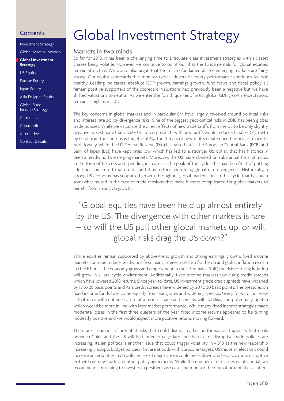Investment Strategy

Global Asset Allocation

**Global Investment Strategy**

US Equity

Europe Equity

Japan Equity

Asia Ex-Japan Equity

Global Fixed Income Strategy

Currencies

Commodities

Alternatives

Contact Details

# Global Investment Strategy

### Markets in two minds

So far for 2018, it has been a challenging time to articulate clear investment strategies with all asset classes being volatile. However, we continue to point out that the fundamentals for global equities remain attractive. We would also argue that the macro fundamentals for emerging markets are fairly strong. Our equity scorecards that monitor typical drivers of equity performance continues to look healthy. Leading indicators, absolute GDP growth, earnings growth, fund flows and fiscal policy all remain positive supporters of the scorecard. Valuations had previously been a negative but we have shifted valuations to neutral. As we enter the fourth quarter of 2018, global GDP growth expectations remain as high as in 2017.

The key concerns in global markets and in particular EM have largely revolved around political risks and interest rate policy divergence risks. One of the biggest geopolitical risks in 2018 has been global trade policies. While we calculate the direct effects of new trade tariffs from the US to be only slightly negative, we estimate that US\$250 billion in products with new tariffs would reduce China's GDP growth by 0.4% from the consensus target of 6.6%, the threats of new tariffs create uncertainties for markets. Additionally, while the US Federal Reserve (Fed) has raised rates, the European Central Bank (ECB) and Bank of Japan (BoJ) have kept rates low, which has led to a stronger US dollar, that has historically been a headwind to emerging markets. Moreover, the US has embarked on substantial fiscal stimulus in the form of tax cuts and spending increases at the peak of the cycle. This has the effect of putting additional pressure to raise rates and thus further reinforcing global rate divergences. Historically, a strong US economy has supported growth throughout global markets, but in this cycle that has been somewhat muted in the face of trade tensions that make it more complicated for global markets to benefit from strong US growth.

"Global equities have been held up almost entirely by the US. The divergence with other markets is rare – so will the US pull other global markets up, or will global risks drag the US down?"

While equities remain supported by above-trend growth and strong earnings growth, fixed income markets continue to face headwinds from rising interest rates. So far the US and global inflation remain in check but as the economy grows and employment in the US remains "full", the risks of rising inflation will grow in a late cycle environment. Additionally, fixed income markets saw rising credit spreads which have lowered 2018 returns. Since year-to-date, US investment grade credit spreads have widened by 15 to 20 basis points and Asia credit spreads have widened by 20 to 30 basis points. The pressures on fixed income funds have come equally from rising rates and widening spreads. Going forward, our view is that rates will continue to rise at a modest pace and spreads will stabilise, and potentially tighten which would be more in line with later market performance. While many fixed income strategies made moderate losses in the first three quarters of the year, fixed income returns appeared to be turning modestly positive and we would expect more positive returns moving forward.

There are a number of potential risks that could disrupt market performance. It appears that deals between China and the US will be harder to negotiate and the risks of disruptive trade policies are increasing. Italian politics is another issue that could trigger volatility in 4Q18 as the new leadership increasingly adopts budget policies that are at odds with Eurozone targets. US midterm elections could increase uncertainties in US policies. Brexit negotiations could break down and lead to a more disruptive exit without new trade and other policy agreements. While the number of risk issues is substantial, we recommend continuing to invest on a positive base case and monitor the risks of potential escalation.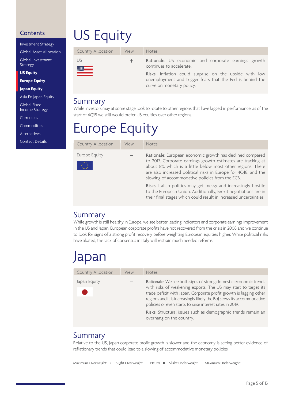Investment Strategy

Global Asset Allocation

Global Investment **Strategy** 

**US Equity**

**Europe Equity**

**Japan Equity**

Asia Ex-Japan Equity

Global Fixed Income Strategy

Currencies

Commodities

Alternatives

Contact Details

# US Equity

| Country Allocation | View | <b>Notes</b>                                                                                                                                                                                                                                |
|--------------------|------|---------------------------------------------------------------------------------------------------------------------------------------------------------------------------------------------------------------------------------------------|
| US.<br>※※■■        |      | <b>Rationale:</b> US economic and corporate earnings growth<br>continues to accelerate.<br>Risks: Inflation could surprise on the upside with low<br>unemployment and trigger fears that the Fed is behind the<br>curve on monetary policy. |

## Summary

While investors may at some stage look to rotate to other regions that have lagged in performance, as of the start of 4Q18 we still would prefer US equities over other regions.

# Europe Equity

| Country Allocation                                                                                     | View | <b>Notes</b>                                                                                                                                                                                                                                                                                                 |
|--------------------------------------------------------------------------------------------------------|------|--------------------------------------------------------------------------------------------------------------------------------------------------------------------------------------------------------------------------------------------------------------------------------------------------------------|
| Europe Equity<br>$\begin{bmatrix} x^{\mathcal{R}} & x \\ x & x \\ x_{\mathcal{R},x} & x \end{bmatrix}$ |      | Rationale: European economic growth has declined compared<br>to 2017. Corporate earnings growth estimates are tracking at<br>about 8% which is a little below most other regions. There<br>are also increased political risks in Europe for 4Q18, and the<br>slowing of accommodative policies from the ECB. |
|                                                                                                        |      | Risks: Italian politics may get messy and increasingly hostile<br>to the European Union. Additionally, Brexit negotiations are in<br>their final stages which could result in increased uncertainties.                                                                                                       |

## Summary

While growth is still healthy in Europe, we see better leading indicators and corporate earnings improvement in the US and Japan. European corporate profits have not recovered from the crisis in 2008 and we continue to look for signs of a strong profit recovery before weighting European equities higher. While political risks have abated, the lack of consensus in Italy will restrain much needed reforms.

## Japan

| Country Allocation | View | <b>Notes</b>                                                                                                                                                                                                                                                                                                                                  |
|--------------------|------|-----------------------------------------------------------------------------------------------------------------------------------------------------------------------------------------------------------------------------------------------------------------------------------------------------------------------------------------------|
| Japan Equity       |      | Rationale: We see both signs of strong domestic economic trends<br>with risks of weakening exports. The US may start to target its<br>trade deficit with Japan. Corporate profit growth is lagging other<br>regions and it is increasingly likely the BoJ slows its accommodative<br>policies or even starts to raise interest rates in 2019. |
|                    |      | Risks: Structural issues such as demographic trends remain an<br>overhang on the country.                                                                                                                                                                                                                                                     |

## Summary

Relative to the US, Japan corporate profit growth is slower and the economy is seeing better evidence of reflationary trends that could lead to a slowing of accommodative monetary policies.

Maximum Overweight: ++ Slight Overweight: + Neutral: Slight Underweight: - Maximum Underweight: --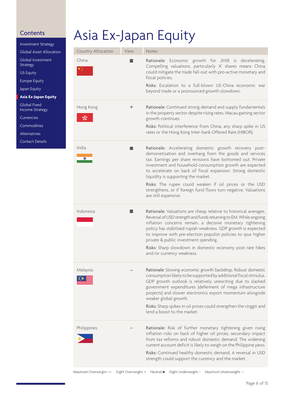Investment Strategy Global Asset Allocation Global Investment Strategy US Equity Europe Equity Japan Equity **Asia Ex-Japan Equity** Global Fixed Income Strategy **Currencies Commodities** Alternatives Contact Details

## Asia Ex-Japan Equity

| Country Allocation | View  | <b>Notes</b>                                                                                                                                                                                                                                                                                                                                                                                                                                                                                            |
|--------------------|-------|---------------------------------------------------------------------------------------------------------------------------------------------------------------------------------------------------------------------------------------------------------------------------------------------------------------------------------------------------------------------------------------------------------------------------------------------------------------------------------------------------------|
| China              |       | Rationale: Economic growth for 2H18 is decelerating.<br>Compelling valuations, particularly 'A' shares means China<br>could mitigate the trade fall-out with pro-active monetary and<br>fiscal policies.<br>Risks: Escalation to a full-blown US-China economic war<br>beyond trade or a pronounced growth slowdown.                                                                                                                                                                                    |
| Hong Kong          | $\pm$ | Rationale: Continued strong demand and supply fundamentals<br>in the property sector despite rising rates. Macau gaming sector<br>growth continues.<br>Risks: Political interference from China, any sharp spike in US<br>rates or the Hong Kong Inter-bank Offered Rate (HIBOR).                                                                                                                                                                                                                       |
| India              |       | Rationale: Accelerating domestic growth recovery post-<br>demonetisation and overhang from the goods and services<br>tax. Earnings per share revisions have bottomed out. Private<br>investment and household consumption growth are expected<br>to accelerate on back of fiscal expansion. Strong domestic<br>liquidity is supporting the market.<br>Risks: The rupee could weaken if oil prices or the USD<br>strengthens, or if foreign fund flows turn negative. Valuations<br>are still expensive. |
| Indonesia          |       | Rationale: Valuations are cheap relative to historical averages.<br>Reversal of USD strength and funds returning to EM. While ongoing<br>inflation concerns remain, a decisive monetary tightening<br>policy has stabilised rupiah weakness. GDP growth is expected<br>to improve with pre-election populist policies to spur higher<br>private & public investment spending.<br>Risks: Sharp slowdown in domestic economy post rate hikes<br>and/or currency weakness.                                 |
| Malaysia           |       | Rationale: Slowing economic growth backdrop. Robust domestic<br>consumption likely to be supported by additional fiscal stimulus.<br>GDP growth outlook is relatively unexciting due to slashed<br>government expenditures (deferment of mega infrastructure<br>projects) and slower electronics export momentum alongside<br>weaker global growth.<br>Risks: Sharp spikes in oil prices could strengthen the ringgit and<br>lend a boost to the market.                                                |
| Philippines        |       | Rationale: Risk of further monetary tightening given rising<br>inflation risks on back of higher oil prices, secondary impact<br>from tax reforms and robust domestic demand. The widening<br>current account deficit is likely to weigh on the Philippine peso.<br>Risks: Continued healthy domestic demand. A reversal in USD<br>strength could support the currency and the market.                                                                                                                  |

Maximum Overweight: ++ Slight Overweight: + Neutral: Slight Underweight: - Maximum Underweight: --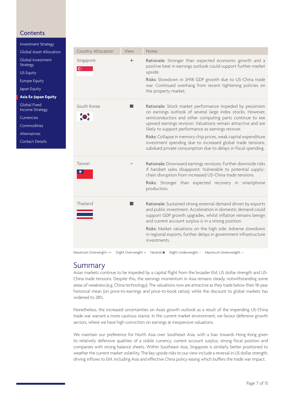Investment Strategy Global Asset Allocation Global Investment Strategy US Equity Europe Equity Japan Equity **Asia Ex-Japan Equity** Global Fixed Income Strategy Currencies

Commodities

Alternatives

Contact Details

| Country Allocation        | View | <b>Notes</b>                                                                                                                                                                                                                                                                                                                                                                                                                                                                                                   |
|---------------------------|------|----------------------------------------------------------------------------------------------------------------------------------------------------------------------------------------------------------------------------------------------------------------------------------------------------------------------------------------------------------------------------------------------------------------------------------------------------------------------------------------------------------------|
| Singapore<br>$\mathbb{C}$ | ÷    | Rationale: Stronger than expected economic growth and a<br>positive beat in earnings outlook could support further market<br>upside.<br>Risks: Slowdown in 2H18 GDP growth due to US-China trade<br>war. Continued overhang from recent tightening policies on<br>the property market.                                                                                                                                                                                                                         |
| South Korea               |      | Rationale: Stock market performance impeded by pessimism<br>on earnings outlook of several large index stocks. However,<br>semiconductors and other computing parts continue to see<br>upward earnings revision. Valuations remain attractive and are<br>likely to support performance as earnings recover.<br>Risks: Collapse in memory chip prices, weak capital expenditure<br>investment spending due to increased global trade tensions,<br>subdued private consumption due to delays in fiscal spending. |
| Taiwan                    |      | Rationale: Downward earnings revisions. Further downside risks<br>if handset sales disappoint. Vulnerable to potential supply-<br>chain disruption from increased US-China trade tensions.<br>Risks: Stronger than expected recovery in smartphone<br>production.                                                                                                                                                                                                                                              |
| Thailand                  |      | Rationale: Sustained strong external demand driven by exports<br>and public investment. Acceleration in domestic demand could<br>support GDP growth upgrades, whilst inflation remains benign<br>and current account surplus is in a strong position.<br>Risks: Market valuations on the high side. Adverse slowdown<br>in regional exports, further delays in government infrastructure<br>investments.                                                                                                       |

Maximum Overweight: ++ Slight Overweight: + Neutral: Slight Underweight: - Maximum Underweight: --

## Summary

Asian markets continue to be impeded by a capital flight from the broader EM, US dollar strength and US-China trade tensions. Despite this, the earnings momentum in Asia remains steady, notwithstanding some areas of weakness (e.g. China technology). The valuations now are attractive as they trade below their 18-year historical mean (on price-to-earnings and price-to-book ratios), while the discount to global markets has widened to 28%.

Nonetheless, the increased uncertainties on Asia's growth outlook as a result of the impending US-China trade war warrant a more cautious stance. In the current market environment, we favour defensive growth sectors, where we have high conviction on earnings at inexpensive valuations.

We maintain our preference for North Asia over Southeast Asia, with a bias towards Hong Kong given its relatively defensive qualities of a stable currency, current account surplus, strong fiscal position and companies with strong balance sheets. Within Southeast Asia, Singapore is similarly better positioned to weather the current market volatility. The key upside risks to our view include a reversal in US dollar strength, driving inflows to EM, including Asia and effective China policy easing which buffers the trade war impact.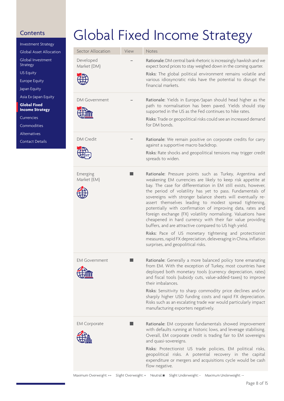Investment Strategy

Global Asset Allocation

Global Investment Strategy

US Equity

Europe Equity

Japan Equity

Asia Ex-Japan Equity

**Global Fixed Income Strategy**

**Currencies** 

**Commodities** 

Alternatives

Contact Details

# Global Fixed Income Strategy

| Sector Allocation        | View | <b>Notes</b>                                                                                                                                                                                                                                                                                                                                                                                                                                                                                                                                                                                                                                                                                                                                                                                                 |
|--------------------------|------|--------------------------------------------------------------------------------------------------------------------------------------------------------------------------------------------------------------------------------------------------------------------------------------------------------------------------------------------------------------------------------------------------------------------------------------------------------------------------------------------------------------------------------------------------------------------------------------------------------------------------------------------------------------------------------------------------------------------------------------------------------------------------------------------------------------|
| Developed<br>Market (DM) |      | Rationale: DM central bank rhetoric is increasingly hawkish and we<br>expect bond prices to stay weighed down in the coming quarter.<br>Risks: The global political environment remains volatile and<br>various idiosyncratic risks have the potential to disrupt the<br>financial markets.                                                                                                                                                                                                                                                                                                                                                                                                                                                                                                                  |
| <b>DM Government</b>     |      | Rationale: Yields in Europe/Japan should head higher as the<br>path to normalisation has been paved. Yields should stay<br>supported in the US as the Fed continues to hike rates.<br>Risks: Trade or geopolitical risks could see an increased demand<br>for DM bonds.                                                                                                                                                                                                                                                                                                                                                                                                                                                                                                                                      |
| <b>DM</b> Credit         |      | Rationale: We remain positive on corporate credits for carry<br>against a supportive macro backdrop.<br>Risks: Rate shocks and geopolitical tensions may trigger credit<br>spreads to widen.                                                                                                                                                                                                                                                                                                                                                                                                                                                                                                                                                                                                                 |
| Emerging<br>Market (EM)  |      | Rationale: Pressure points such as Turkey, Argentina and<br>weakening EM currencies are likely to keep risk appetite at<br>bay. The case for differentiation in EM still exists, however,<br>the period of volatility has yet to pass. Fundamentals of<br>sovereigns with stronger balance sheets will eventually re-<br>assert themselves leading to modest spread tightening,<br>potentially with confirmation of improving data, rates and<br>foreign exchange (FX) volatility normalising. Valuations have<br>cheapened in hard currency with their fair value providing<br>buffers, and are attractive compared to US high yield.<br>Risks: Pace of US monetary tightening and protectionist<br>measures, rapid FX depreciation, deleveraging in China, inflation<br>surprises, and geopolitical risks. |
| <b>EM Government</b>     |      | Rationale: Generally a more balanced policy tone emanating<br>from EM. With the exception of Turkey, most countries have<br>deployed both monetary tools (currency depreciation, rates)<br>and fiscal tools (subsidy cuts, value-added-taxes) to improve<br>their imbalances.<br>Risks: Sensitivity to sharp commodity price declines and/or<br>sharply higher USD funding costs and rapid FX depreciation.<br>Risks such as an escalating trade war would particularly impact<br>manufacturing exporters negatively.                                                                                                                                                                                                                                                                                        |
| <b>EM Corporate</b>      |      | Rationale: EM corporate fundamentals showed improvement<br>with defaults running at historic lows, and leverage stabilising.<br>Overall, EM corporate credit is trading fair to EM sovereigns<br>and quasi-sovereigns.<br>Risks: Protectionist US trade policies, EM political risks,<br>geopolitical risks. A potential recovery in the capital<br>expenditure or mergers and acquisitions cycle would be cash<br>flow negative.                                                                                                                                                                                                                                                                                                                                                                            |

Maximum Overweight: ++ Slight Overweight: + Neutral: Slight Underweight: - Maximum Underweight: --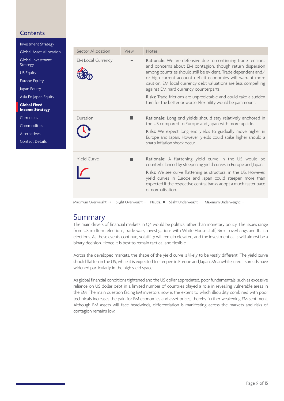Investment Strategy Global Asset Allocation Global Investment Strategy US Equity Europe Equity Japan Equity Asia Ex-Japan Equity **Global Fixed Income Strategy** Currencies Commodities Alternatives Contact Details

| Sector Allocation        | View | <b>Notes</b>                                                                                                                                                                                                                                                                                                                                                                                                                                                                                               |
|--------------------------|------|------------------------------------------------------------------------------------------------------------------------------------------------------------------------------------------------------------------------------------------------------------------------------------------------------------------------------------------------------------------------------------------------------------------------------------------------------------------------------------------------------------|
| <b>EM Local Currency</b> |      | Rationale: We are defensive due to continuing trade tensions<br>and concerns about EM contagion, though return dispersion<br>among countries should still be evident. Trade dependent and/<br>or high current account deficit economies will warrant more<br>caution. EM local currency debt valuations are less compelling<br>against EM hard currency counterparts.<br>Risks: Trade frictions are unpredictable and could take a sudden<br>turn for the better or worse. Flexibility would be paramount. |
| Duration                 |      | Rationale: Long end yields should stay relatively anchored in<br>the US compared to Europe and Japan with more upside.<br>Risks: We expect long end yields to gradually move higher in<br>Europe and Japan. However, yields could spike higher should a<br>sharp inflation shock occur.                                                                                                                                                                                                                    |
| Yield Curve              |      | Rationale: A flattening yield curve in the US would be<br>counterbalanced by steepening yield curves in Europe and Japan.<br>Risks: We see curve flattening as structural in the US. However,<br>yield curves in Europe and Japan could steepen more than<br>expected if the respective central banks adopt a much faster pace<br>of normalisation.                                                                                                                                                        |
|                          |      |                                                                                                                                                                                                                                                                                                                                                                                                                                                                                                            |

Maximum Overweight: ++ Slight Overweight: + Neutral: Slight Underweight: - Maximum Underweight: --

## Summary

The main drivers of financial markets in Q4 would be politics rather than monetary policy. The issues range from US midterm elections, trade wars, investigations with White House staff, Brexit overhangs and Italian elections. As these events continue, volatility will remain elevated, and the investment calls will almost be a binary decision. Hence it is best to remain tactical and flexible.

Across the developed markets, the shape of the yield curve is likely to be vastly different. The yield curve should flatten in the US, while it is expected to steepen in Europe and Japan. Meanwhile, credit spreads have widened particularly in the high yield space.

As global financial conditions tightened and the US dollar appreciated, poor fundamentals, such as excessive reliance on US dollar debt in a limited number of countries played a role in revealing vulnerable areas in the EM. The main question facing EM investors now is the extent to which illiquidity combined with poor technicals increases the pain for EM economies and asset prices, thereby further weakening EM sentiment. Although EM assets will face headwinds, differentiation is manifesting across the markets and risks of contagion remains low.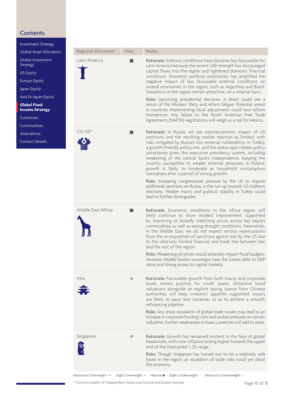Investment Strategy

| Global Asset Allocation                                                                            | Regional Allocation | View | Notes                                                                                                                                                                                                                                                                                                                                                                                                                                                                                                                                                                 |
|----------------------------------------------------------------------------------------------------|---------------------|------|-----------------------------------------------------------------------------------------------------------------------------------------------------------------------------------------------------------------------------------------------------------------------------------------------------------------------------------------------------------------------------------------------------------------------------------------------------------------------------------------------------------------------------------------------------------------------|
| Global Investment<br>Strategy<br>US Equity<br><b>Europe Equity</b><br>Japan Equity                 | Latin America       |      | Rationale: External conditions have become less favourable for<br>Latin America because the recent USD strength has discouraged<br>capital flows into the region and tightened domestic financial<br>conditions. Domestic political uncertainty has amplified the<br>negative impact of less favourable external conditions on<br>several economies in the region, such as Argentina and Brazil.<br>Valuations in the region remain attractive, on a relative basis.                                                                                                  |
| Asia Ex-Japan Equity<br><b>Global Fixed</b><br><b>Income Strategy</b><br>Currencies<br>Commodities |                     |      | Risks: Upcoming presidential elections in Brazil could see a<br>return of the Workers' Party and reform fatigue. Potential unrest<br>in countries implementing fiscal adjustments could sour reform<br>momentum. Any failure to the North American Free Trade<br>Agreements (NAFTA) negotiations will weigh as a risk for Mexico.                                                                                                                                                                                                                                     |
| Alternatives<br><b>Contact Details</b>                                                             | $CIS/EE*$           |      | Rationale: In Russia, we see macroeconomic impact of US<br>sanctions and the resulting market reaction as limited, with<br>risks mitigated by Russia's low external vulnerability. In Turkey,<br>a growth-friendly policy mix, and the status-quo creates policy<br>uncertainty given the executive presidency system, including<br>weakening of the central bank's independence, keeping the<br>country susceptible to weaker external pressures. In Poland,<br>growth is likely to moderate as household consumption<br>normalises after a period of strong growth. |
|                                                                                                    |                     |      | Risks: Increasing congressional pressure by the US to impose<br>additional sanctions on Russia, in the run-up towards US midterm<br>elections. Weaker macro and political stability in Turkey could<br>lead to further downgrades.                                                                                                                                                                                                                                                                                                                                    |
|                                                                                                    | Middle East/Africa  |      | Rationale: Economic conditions in the Africa region will<br>likely continue to show modest improvement, supported<br>by improving or broadly stabilising prices across key export<br>commodities as well as easing drought conditions. Meanwhile,<br>in the Middle East, we do not expect serious repercussions<br>from the re-imposition of sanctions against Iran by the US due<br>to the relatively limited financial and trade ties between Iran<br>and the rest of the region.                                                                                   |
|                                                                                                    |                     |      | Risks: Weakening oil prices would adversely impact fiscal budgets.<br>However Middle Eastern sovereigns have the lowest debt to GDP<br>ratios and strong access to capital markets.                                                                                                                                                                                                                                                                                                                                                                                   |
|                                                                                                    | Asia                | $^+$ | Rationale: Favourable growth from both macro and corporate<br>levels remain positive for credit assets. Attractive bond<br>valuations alongside an explicit easing stance from Chinese<br>authorities will keep investors' appetite supported. Issuers<br>are likely to pace new issuances so as to achieve a smooth<br>refinancing pipeline.                                                                                                                                                                                                                         |
|                                                                                                    |                     |      | Risks: Any sharp escalation of global trade tussles may lead to an<br>increase in corporate funding costs and undue pressures on certain<br>industries. Further weaknesses in Asian currencies will add to woes.                                                                                                                                                                                                                                                                                                                                                      |
|                                                                                                    | Singapore           | ÷.   | Rationale: Growth has remained resilient in the face of global<br>headwinds, with core inflation ticking higher towards the upper<br>end of the forecasted 1-2% range.<br>Risks: Though Singapore has turned out to be a relatively safe<br>haven in the region, an escalation of trade risks could yet derail<br>the economy.                                                                                                                                                                                                                                        |

Maximum Overweight: ++ Slight Overweight: + Neutral: Slight Underweight: - Maximum Underweight: --

\* Commonwealth of Independent States and Central and Eastern Europe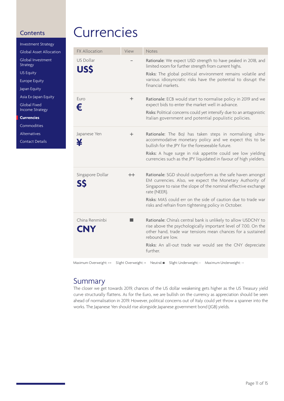Investment Strategy

Global Asset Allocation

Global Investment Strategy

US Equity

Europe Equity

Japan Equity

Asia Ex-Japan Equity

Global Fixed Income Strategy

**Currencies**

**Commodities** 

Alternatives

Contact Details

## **Currencies**

| <b>FX Allocation</b>           | View    | <b>Notes</b>                                                                                                                                                                                                                                                                                                                     |
|--------------------------------|---------|----------------------------------------------------------------------------------------------------------------------------------------------------------------------------------------------------------------------------------------------------------------------------------------------------------------------------------|
| <b>US Dollar</b><br><b>USS</b> |         | Rationale: We expect USD strength to have peaked in 2018, and<br>limited room for further strength from current highs.<br>Risks: The global political environment remains volatile and<br>various idiosyncratic risks have the potential to disrupt the<br>financial markets.                                                    |
| Euro<br>€                      | $^+$    | Rationale: ECB would start to normalise policy in 2019 and we<br>expect bids to enter the market well in advance.<br>Risks: Political concerns could yet intensify due to an antagonistic<br>Italian government and potential populistic policies.                                                                               |
| Japanese Yen                   | ÷.      | Rationale: The BoJ has taken steps in normalising ultra-<br>accommodative monetary policy and we expect this to be<br>bullish for the JPY for the foreseeable future.<br>Risks: A huge surge in risk appetite could see low yielding<br>currencies such as the JPY liquidated in favour of high yielders.                        |
| Singapore Dollar<br><b>SS</b>  | $^{++}$ | Rationale: SGD should outperform as the safe haven amongst<br>EM currencies. Also, we expect the Monetary Authority of<br>Singapore to raise the slope of the nominal effective exchange<br>rate (NEER).<br>Risks: MAS could err on the side of caution due to trade war<br>risks and refrain from tightening policy in October. |
| China Renminbi<br><b>CNY</b>   |         | Rationale: China's central bank is unlikely to allow USDCNY to<br>rise above the psychologically important level of 7.00. On the<br>other hand, trade war tensions mean chances for a sustained<br>rebound are low.<br>Risks: An all-out trade war would see the CNY depreciate<br>further.                                      |
|                                |         |                                                                                                                                                                                                                                                                                                                                  |

Maximum Overweight: ++ Slight Overweight: + Neutral: Slight Underweight: - Maximum Underweight: --

## Summary

The closer we get towards 2019, chances of the US dollar weakening gets higher as the US Treasury yield curve structurally flattens. As for the Euro, we are bullish on the currency as appreciation should be seen ahead of normalisation in 2019. However, political concerns out of Italy could yet throw a spanner into the works. The Japanese Yen should rise alongside Japanese government bond (JGB) yields.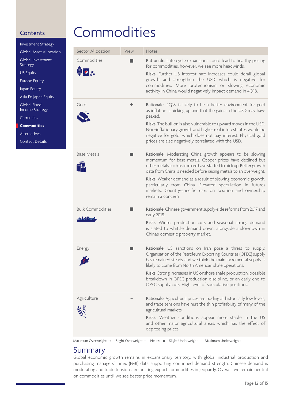Investment Strategy Global Asset Allocation Global Investment Strategy US Equity

Europe Equity

Japan Equity

Asia Ex-Japan Equity

Global Fixed Income Strategy

Currencies

**Commodities**

Alternatives

Contact Details

# **Commodities**

| Sector Allocation                   | View  | <b>Notes</b>                                                                                                                                                                                                                                                                                                                                                   |
|-------------------------------------|-------|----------------------------------------------------------------------------------------------------------------------------------------------------------------------------------------------------------------------------------------------------------------------------------------------------------------------------------------------------------------|
| Commodities<br>VDa                  |       | Rationale: Late cycle expansions could lead to healthy pricing<br>for commodities, however, we see more headwinds.<br>Risks: Further US interest rate increases could derail global<br>growth and strengthen the USD which is negative for<br>commodities. More protectionism or slowing economic<br>activity in China would negatively impact demand in 4Q18. |
| Gold                                | $\pm$ | Rationale: 4Q18 is likely to be a better environment for gold<br>as inflation is picking up and that the gains in the USD may have<br>peaked.<br>Risks: The bullion is also vulnerable to upward moves in the USD.                                                                                                                                             |
|                                     |       | Non-inflationary growth and higher real interest rates would be<br>negative for gold, which does not pay interest. Physical gold<br>prices are also negatively correlated with the USD.                                                                                                                                                                        |
| <b>Base Metals</b>                  |       | Rationale: Moderating China growth appears to be slowing<br>momentum for base metals. Copper prices have declined but<br>other metals such as iron ore have started to pick up. Better growth<br>data from China is needed before raising metals to an overweight.                                                                                             |
|                                     |       | Risks: Weaker demand as a result of slowing economic growth,<br>particularly from China. Elevated speculation in futures<br>markets. Country-specific risks on taxation and ownership<br>remain a concern.                                                                                                                                                     |
| <b>Bulk Commodities</b><br>يستلتمان |       | Rationale: Chinese government supply-side reforms from 2017 and<br>early 2018.                                                                                                                                                                                                                                                                                 |
|                                     |       | Risks: Winter production cuts and seasonal strong demand<br>is slated to whittle demand down, alongside a slowdown in<br>China's domestic property market.                                                                                                                                                                                                     |
| Energy<br>X,                        |       | Rationale: US sanctions on Iran pose a threat to supply.<br>Organisation of the Petroleum Exporting Countries (OPEC) supply<br>has remained steady and we think the main incremental supply is<br>likely to come from North American shale operations.                                                                                                         |
|                                     |       | Risks: Strong increases in US onshore shale production, possible<br>breakdown in OPEC production discipline, or an early end to<br>OPEC supply cuts. High level of speculative positions.                                                                                                                                                                      |
| Agriculture                         |       | Rationale: Agricultural prices are trading at historically low levels,<br>and trade tensions have hurt the thin profitability of many of the<br>agricultural markets.                                                                                                                                                                                          |
|                                     |       | Risks: Weather conditions appear more stable in the US<br>and other major agricultural areas, which has the effect of<br>depressing prices.                                                                                                                                                                                                                    |

Maximum Overweight: ++ Slight Overweight: + Neutral: Slight Underweight: - Maximum Underweight: --

## Summary

Global economic growth remains in expansionary territory, with global industrial production and purchasing managers' index (PMI) data supporting continued demand strength. Chinese demand is moderating and trade tensions are putting export commodities in jeopardy. Overall, we remain neutral on commodities until we see better price momentum.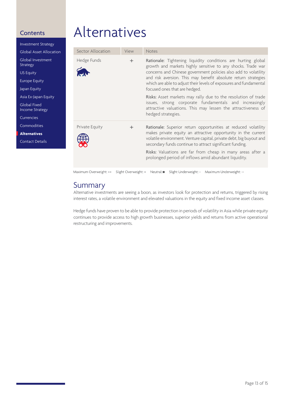Investment Strategy Global Asset Allocation Global Investment Strategy US Equity Europe Equity Japan Equity Asia Ex-Japan Equity Global Fixed Income Strategy **Currencies Commodities Alternatives** Contact Details

# Alternatives

| Sector Allocation | View | <b>Notes</b>                                                                                                                                                                                                                                                                                                                                                              |  |
|-------------------|------|---------------------------------------------------------------------------------------------------------------------------------------------------------------------------------------------------------------------------------------------------------------------------------------------------------------------------------------------------------------------------|--|
| Hedge Funds       | $+$  | Rationale: Tightening liquidity conditions are hurting global<br>growth and markets highly sensitive to any shocks. Trade war<br>concerns and Chinese government policies also add to volatility<br>and risk aversion. This may benefit absolute return strategies<br>which are able to adjust their levels of exposures and fundamental<br>focused ones that are hedged. |  |
|                   |      | Risks: Asset markets may rally due to the resolution of trade<br>issues, strong corporate fundamentals and increasingly<br>attractive valuations. This may lessen the attractiveness of<br>hedged strategies.                                                                                                                                                             |  |
| Private Equity    | $+$  | Rationale: Superior return opportunities at reduced volatility<br>makes private equity an attractive opportunity in the current<br>volatile environment. Venture capital, private debt, big buyout and<br>secondary funds continue to attract significant funding.                                                                                                        |  |
|                   |      | Risks: Valuations are far from cheap in many areas after a<br>prolonged period of inflows amid abundant liquidity.                                                                                                                                                                                                                                                        |  |

Maximum Overweight: ++ Slight Overweight: + Neutral: Slight Underweight: - Maximum Underweight: --

## Summary

Alternative investments are seeing a boon, as investors look for protection and returns, triggered by rising interest rates, a volatile environment and elevated valuations in the equity and fixed income asset classes.

Hedge funds have proven to be able to provide protection in periods of volatility in Asia while private equity continues to provide access to high growth businesses, superior yields and returns from active operational restructuring and improvements.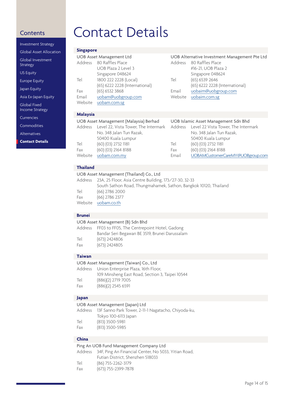| <b>Investment Strategy</b>             |                             |
|----------------------------------------|-----------------------------|
| Global Asset Allocation                | Singapore                   |
| Global Investment<br>Strategy          | <b>UOB Asset</b><br>Address |
| <b>US Equity</b>                       |                             |
| <b>Europe Equity</b>                   | Tel                         |
| Japan Equity                           | Fax                         |
| Asia Ex-Japan Equity                   | Fmail                       |
| Global Fixed<br><b>Income Strategy</b> | Website                     |
| Currencies                             | <b>Malaysia</b>             |
| Commodities                            | <b>UOB Asset</b><br>Address |
| Alternatives                           |                             |
| <b>Contact Details</b>                 | Tel                         |
|                                        | Fax                         |
|                                        | Website                     |
|                                        | <b>Thailand</b>             |
|                                        |                             |

## Contact Details

| <b>Singapore</b>        |                                                                                                                                                                   |                  |                                                                                                                                                                            |
|-------------------------|-------------------------------------------------------------------------------------------------------------------------------------------------------------------|------------------|----------------------------------------------------------------------------------------------------------------------------------------------------------------------------|
| Tel                     | <b>UOB Asset Management Ltd</b><br>Address 80 Raffles Place<br>UOB Plaza 2 Level 3<br>Singapore 048624<br>1800 222 2228 (Local)<br>(65) 6222 2228 (International) | Tel              | UOB Alternative Investment Management Pte Ltd<br>Address 80 Raffles Place<br>#16-21, UOB Plaza 2<br>Singapore 048624<br>$(65)$ 6539 2646<br>(65) 6222 2228 (International) |
| Fax<br>Email<br>Website | $(65)$ 6532 3868<br>uobam@uobgroup.com<br>uobam.com.sg                                                                                                            | Email<br>Website | uobaim@uobgroup.com<br>uobaim.com.sg                                                                                                                                       |
| Malaysia                |                                                                                                                                                                   |                  |                                                                                                                                                                            |
| Tel                     | UOB Asset Management (Malaysia) Berhad<br>Address Level 22, Vista Tower, The Intermark<br>No. 348 Jalan Tun Razak,<br>50400 Kuala Lumpur<br>(60) (03) 2732 1181   | Tel              | UOB Islamic Asset Management Sdn Bhd<br>Address Level 22 Vista Tower. The Intermark<br>No. 348 Jalan Tun Razak,<br>50400 Kuala Lumpur<br>(60) (03) 2732 1181               |
| Fax<br>Website          | (60) (03) 2164 8188<br>uobam.com.my                                                                                                                               | Fax<br>Email     | (60) (03) 2164 8188<br>UOBAMCustomerCareMY@UOBgroup.com                                                                                                                    |

#### **Thailand**

UOB Asset Management (Thailand) Co., Ltd Address 23A, 25 Floor, Asia Centre Building, 173/27-30, 32-33 South Sathon Road, Thungmahamek, Sathon, Bangkok 10120, Thailand Tel (66) 2786 2000 Fax (66) 2786 2377 Website [uobam.co.th](http://www.uobam.co.th)

#### **Brunei**

| UOB Asset Management (B) Sdn Bhd |                                                     |  |
|----------------------------------|-----------------------------------------------------|--|
|                                  | Address FF03 to FF05, The Centrepoint Hotel, Gadong |  |
|                                  | Bandar Seri Begawan BE 3519, Brunei Darussalam      |  |
| Tel                              | (673) 2424806                                       |  |
| Fax                              | (673) 2424805                                       |  |
|                                  |                                                     |  |

#### **Taiwan**

|     | UOB Asset Management (Taiwan) Co., Ltd          |
|-----|-------------------------------------------------|
|     | Address Union Enterprise Plaza, 16th Floor,     |
|     | 109 Minsheng East Road, Section 3, Taipei 10544 |
| Tel | (886)(2) 2719 7005                              |
| Fax | $(886)(2)$ 2545 6591                            |
|     |                                                 |

#### **Japan**

|     | UOB Asset Management (Japan) Ltd                            |
|-----|-------------------------------------------------------------|
|     | Address 13F Sanno Park Tower, 2-11-1 Nagatacho, Chiyoda-ku, |
|     | Tokyo 100-6113 Japan                                        |
| Tel | $(813)$ 3500-5981                                           |
| Fax | (813) 3500-5985                                             |

#### **China**

| Ping An UOB Fund Management Company Ltd |                                                              |  |
|-----------------------------------------|--------------------------------------------------------------|--|
|                                         | Address 34F, Ping An Financial Center, No 5033, Yitian Road, |  |
|                                         | Futian District. Shenzhen 518033                             |  |
| Tel                                     | (86) 755-2262-3179                                           |  |
| Fax                                     | (673) 755-2399-7878                                          |  |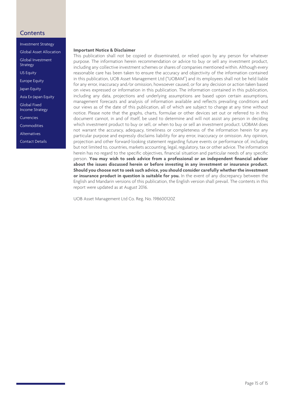#### Investment Strategy

Global Asset Allocation

Global Investment Strategy

US Equity

Europe Equity

Japan Equity

Asia Ex-Japan Equity

Global Fixed Income Strategy

Currencies

Commodities

Alternatives

Contact Details

#### **Important Notice & Disclaimer**

This publication shall not be copied or disseminated, or relied upon by any person for whatever purpose. The information herein recommendation or advice to buy or sell any investment product, including any collective investment schemes or shares of companies mentioned within. Although every reasonable care has been taken to ensure the accuracy and objectivity of the information contained in this publication, UOB Asset Management Ltd ("UOBAM") and its employees shall not be held liable for any error, inaccuracy and/or omission, howsoever caused, or for any decision or action taken based on views expressed or information in this publication. The information contained in this publication, including any data, projections and underlying assumptions are based upon certain assumptions, management forecasts and analysis of information available and reflects prevailing conditions and our views as of the date of this publication, all of which are subject to change at any time without notice. Please note that the graphs, charts, formulae or other devices set out or referred to in this document cannot, in and of itself, be used to determine and will not assist any person in deciding which investment product to buy or sell, or when to buy or sell an investment product. UOBAM does not warrant the accuracy, adequacy, timeliness or completeness of the information herein for any particular purpose and expressly disclaims liability for any error, inaccuracy or omission. Any opinion, projection and other forward-looking statement regarding future events or performance of, including but not limited to, countries, markets accounting, legal, regulatory, tax or other advice. The information herein has no regard to the specific objectives, financial situation and particular needs of any specific person. **You may wish to seek advice from a professional or an independent financial adviser about the issues discussed herein or before investing in any investment or insurance product. Should you choose not to seek such advice, you should consider carefully whether the investment or insurance product in question is suitable for you.** In the event of any discrepancy between the English and Mandarin versions of this publication, the English version shall prevail. The contents in this report were updated as at August 2016.

UOB Asset Management Ltd Co. Reg. No. 198600120Z